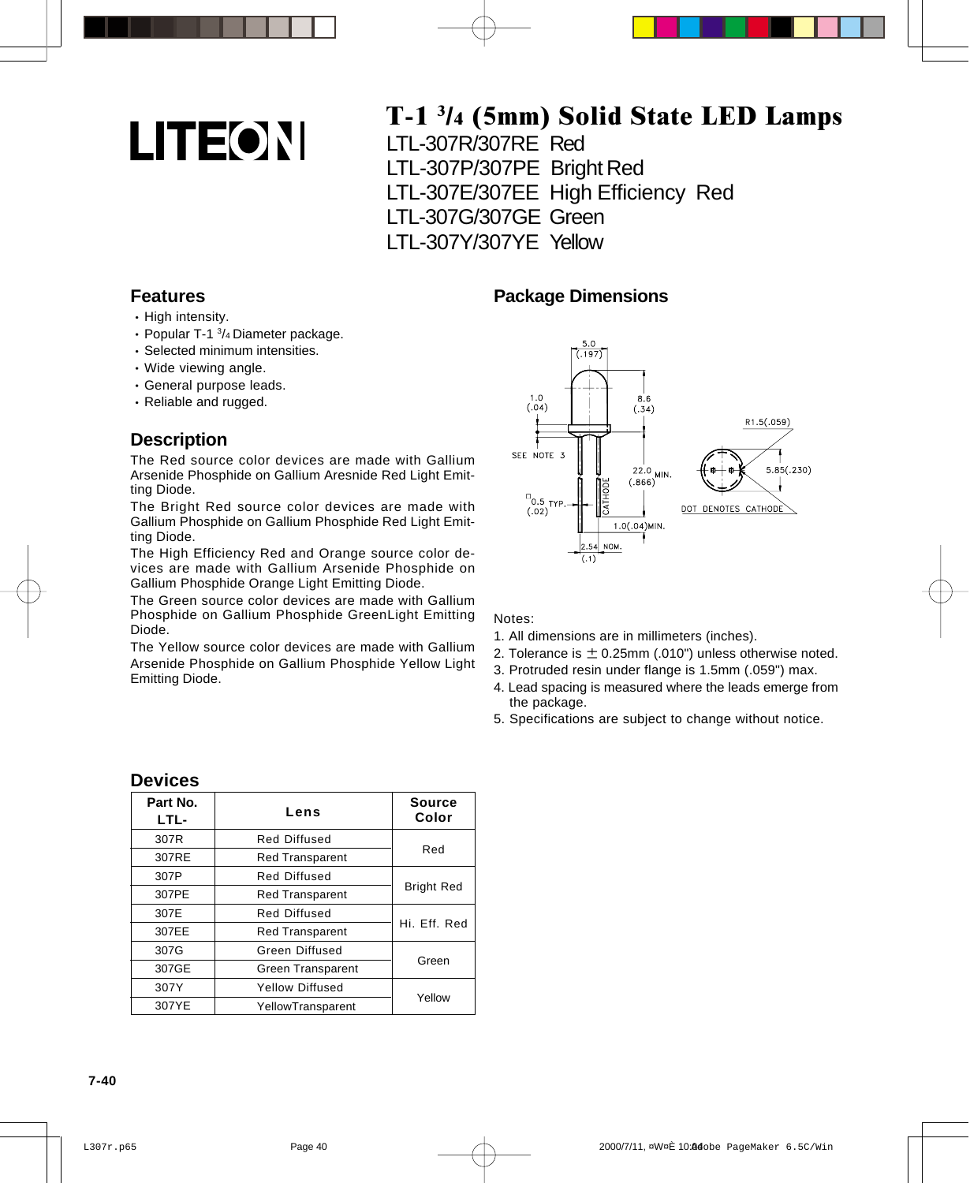# **LITEON**

## T-1 3/4 (5mm) Solid State LED Lamps

LTL-307R/307RE Red LTL-307P/307PE Bright Red LTL-307E/307EE High Efficiency Red LTL-307G/307GE Green LTL-307Y/307YE Yellow

**Package Dimensions**

#### **Features**

- High intensity.
- Popular T-1  $\frac{3}{4}$  Diameter package.
- Selected minimum intensities.
- Wide viewing angle.
- General purpose leads.
- Reliable and rugged.

#### **Description**

The Red source color devices are made with Gallium Arsenide Phosphide on Gallium Aresnide Red Light Emitting Diode.

The Bright Red source color devices are made with Gallium Phosphide on Gallium Phosphide Red Light Emitting Diode.

The High Efficiency Red and Orange source color devices are made with Gallium Arsenide Phosphide on Gallium Phosphide Orange Light Emitting Diode.

The Green source color devices are made with Gallium Phosphide on Gallium Phosphide GreenLight Emitting Diode.

The Yellow source color devices are made with Gallium Arsenide Phosphide on Gallium Phosphide Yellow Light Emitting Diode.



#### Notes:

- 1. All dimensions are in millimeters (inches).
- 2. Tolerance is  $\pm$  0.25mm (.010") unless otherwise noted.
- 3. Protruded resin under flange is 1.5mm (.059") max.
- 4. Lead spacing is measured where the leads emerge from the package.
- 5. Specifications are subject to change without notice.

| Part No.<br>LTL- | Lens                     | Source<br>Color   |  |  |
|------------------|--------------------------|-------------------|--|--|
| 307R             | <b>Red Diffused</b>      | Red               |  |  |
| 307RE            | <b>Red Transparent</b>   |                   |  |  |
| 307P             | <b>Red Diffused</b>      | <b>Bright Red</b> |  |  |
| 307PE            | <b>Red Transparent</b>   |                   |  |  |
| 307E             | Red Diffused             |                   |  |  |
| 307EE            | <b>Red Transparent</b>   | Hi. Eff. Red      |  |  |
| 307G             | Green Diffused           |                   |  |  |
| 307GE            | <b>Green Transparent</b> | Green             |  |  |
| 307Y             | <b>Yellow Diffused</b>   | Yellow            |  |  |
| 307YE            | YellowTransparent        |                   |  |  |

#### **Devices**

#### **7-40**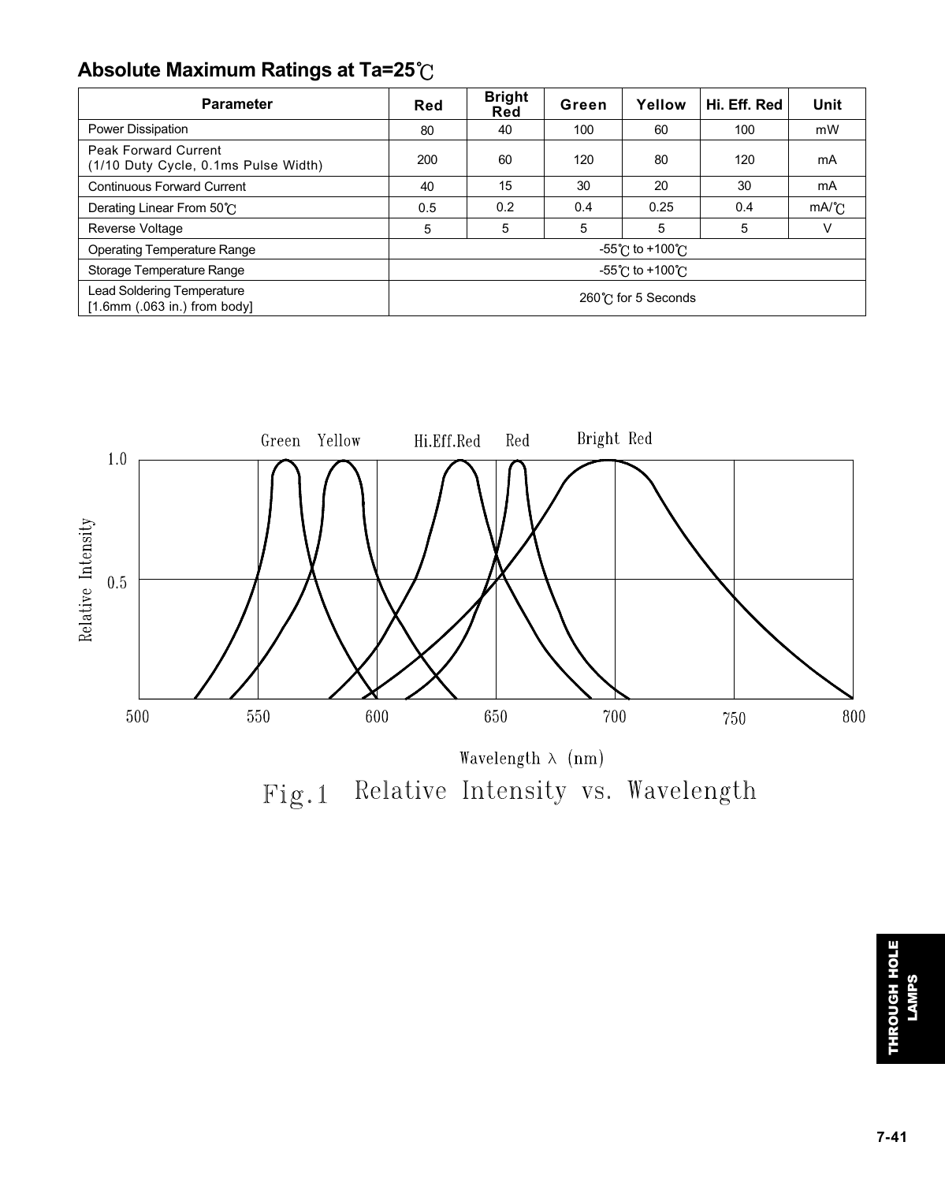## **Absolute Maximum Ratings at Ta=25**

| <b>Parameter</b>                                                    | Red                                 | <b>Bright</b><br>Red | Green | Yellow | Hi. Eff. Red | Unit |
|---------------------------------------------------------------------|-------------------------------------|----------------------|-------|--------|--------------|------|
| Power Dissipation                                                   | 80                                  | 40                   | 100   | 60     | 100          | mW   |
| Peak Forward Current<br>(1/10 Duty Cycle, 0.1ms Pulse Width)        | 200                                 | 60                   | 120   | 80     | 120          | mA   |
| <b>Continuous Forward Current</b>                                   | 40                                  | 15                   | 30    | 20     | 30           | mA   |
| Derating Linear From 50°C                                           | 0.5                                 | 0.2                  | 0.4   | 0.25   | 0.4          | mA/C |
| <b>Reverse Voltage</b>                                              | 5                                   | 5                    | 5     | 5      | 5            | v    |
| <b>Operating Temperature Range</b>                                  | -55℃ to +100℃                       |                      |       |        |              |      |
| Storage Temperature Range                                           | $-55^{\circ}$ C to $+100^{\circ}$ C |                      |       |        |              |      |
| <b>Lead Soldering Temperature</b><br>[1.6mm $(.063$ in.) from body] | 260℃ for 5 Seconds                  |                      |       |        |              |      |



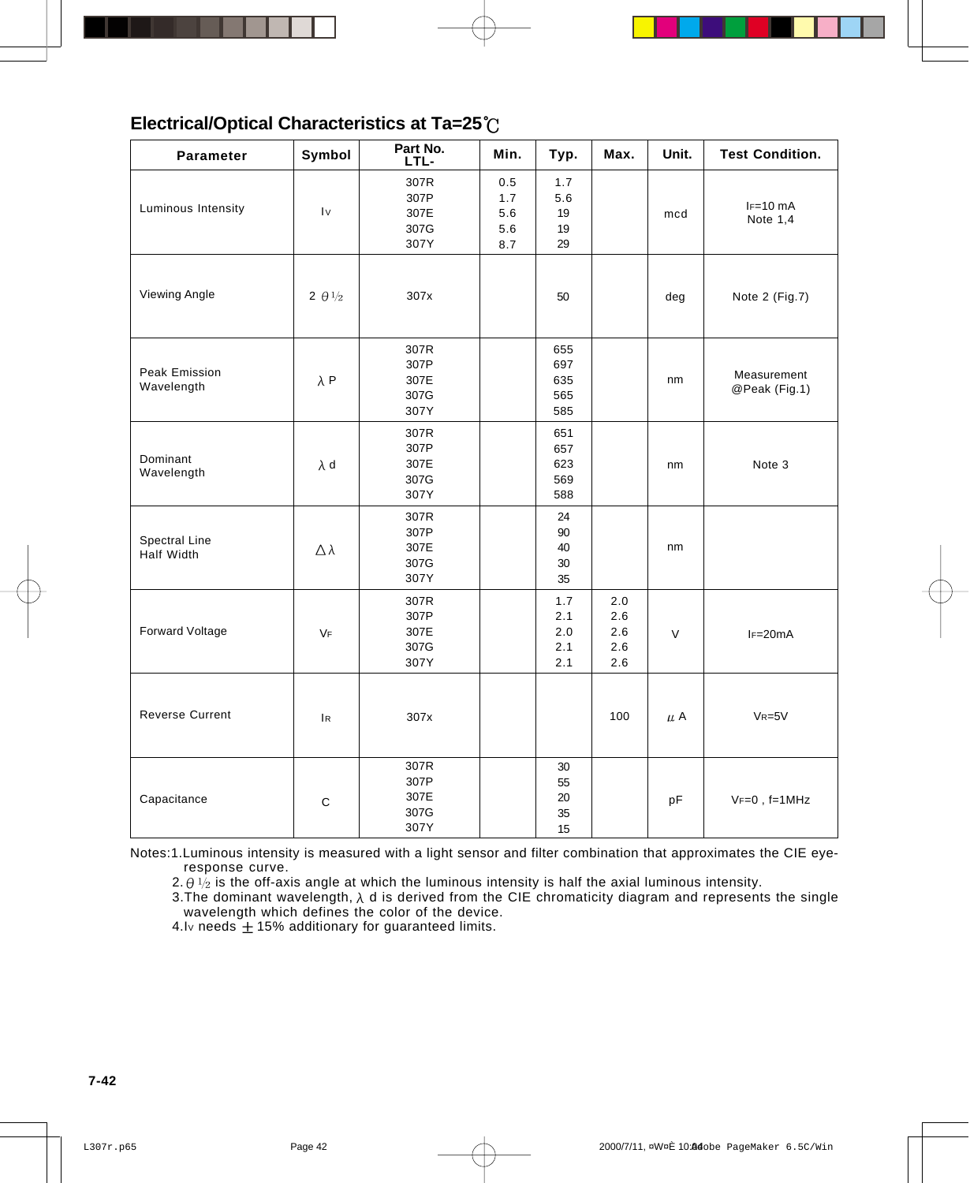## **Electrical/Optical Characteristics at Ta=25**

| <b>Parameter</b>            | Symbol                                 | Part No.<br>LTL-                     | Min.                                | Typ.                            | Max.                            | Unit. | <b>Test Condition.</b>       |
|-----------------------------|----------------------------------------|--------------------------------------|-------------------------------------|---------------------------------|---------------------------------|-------|------------------------------|
| Luminous Intensity          | $\mathsf{I}\mathsf{v}$                 | 307R<br>307P<br>307E<br>307G<br>307Y | 0.5<br>1.7<br>$5.6\,$<br>5.6<br>8.7 | 1.7<br>5.6<br>19<br>19<br>29    |                                 | mcd   | $IF=10$ mA<br>Note $1,4$     |
| <b>Viewing Angle</b>        | 2 $\theta$ <sup>1</sup> / <sub>2</sub> | 307x                                 |                                     | 50                              |                                 | deg   | Note 2 (Fig.7)               |
| Peak Emission<br>Wavelength | $\lambda$ P                            | 307R<br>307P<br>307E<br>307G<br>307Y |                                     | 655<br>697<br>635<br>565<br>585 |                                 | nm    | Measurement<br>@Peak (Fig.1) |
| Dominant<br>Wavelength      | $\lambda$ d                            | 307R<br>307P<br>307E<br>307G<br>307Y |                                     | 651<br>657<br>623<br>569<br>588 |                                 | nm    | Note 3                       |
| Spectral Line<br>Half Width | $\Delta \lambda$                       | 307R<br>307P<br>307E<br>307G<br>307Y |                                     | 24<br>90<br>40<br>30<br>35      |                                 | nm    |                              |
| Forward Voltage             | VF                                     | 307R<br>307P<br>307E<br>307G<br>307Y |                                     | 1.7<br>2.1<br>2.0<br>2.1<br>2.1 | 2.0<br>2.6<br>2.6<br>2.6<br>2.6 | V     | $IF=20mA$                    |
| <b>Reverse Current</b>      | $\overline{R}$                         | 307x                                 |                                     |                                 | 100                             | μA    | $VR = 5V$                    |
| Capacitance                 | $\mathbf C$                            | 307R<br>307P<br>307E<br>307G<br>307Y |                                     | 30<br>55<br>20<br>35<br>15      |                                 | pF    | $VF=0$ , $f=1MHz$            |

Notes:1.Luminous intensity is measured with a light sensor and filter combination that approximates the CIE eyeresponse curve.

2.  $\theta$  1/<sub>2</sub> is the off-axis angle at which the luminous intensity is half the axial luminous intensity.

3. The dominant wavelength,  $\lambda$  d is derived from the CIE chromaticity diagram and represents the single wavelength which defines the color of the device.

4.Iv needs  $\pm$  15% additionary for guaranteed limits.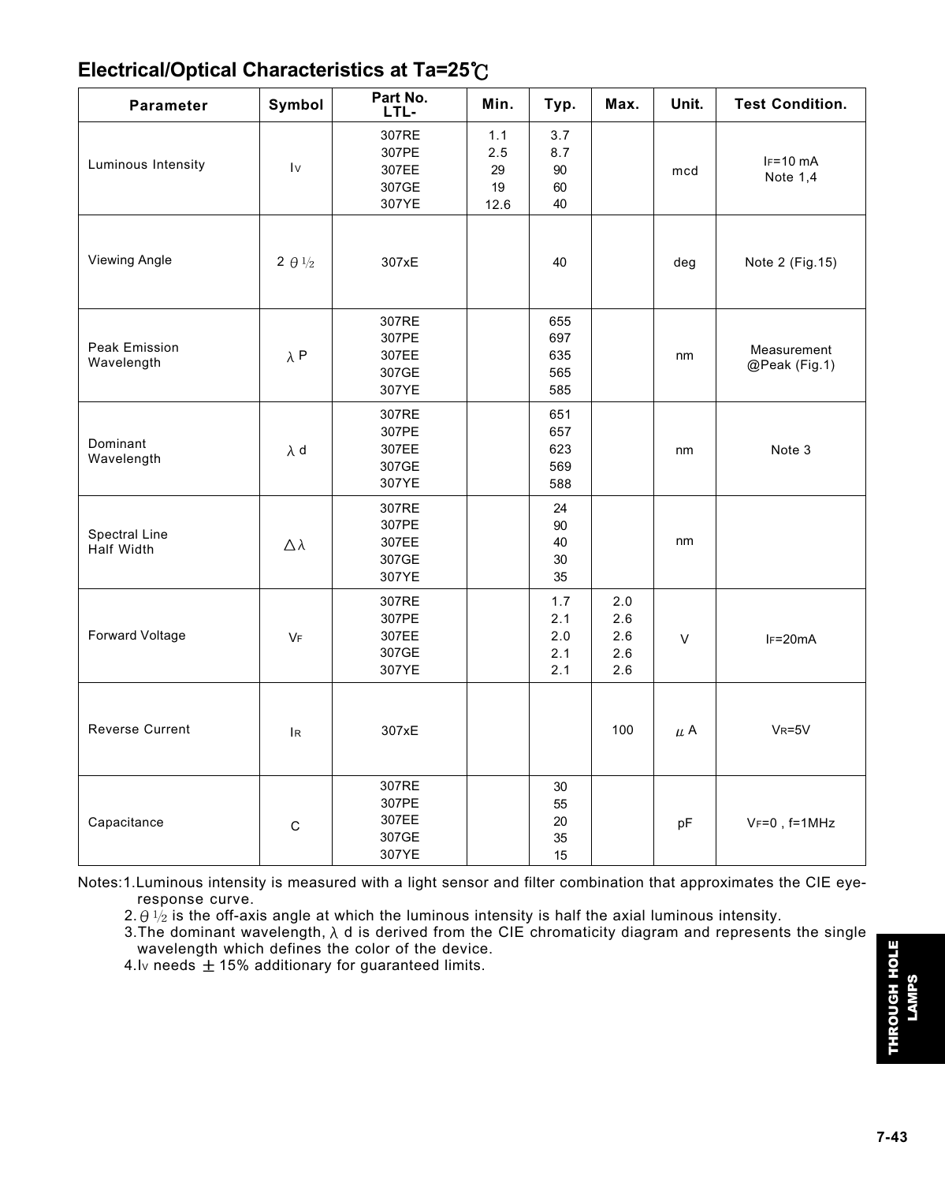## **Electrical/Optical Characteristics at Ta=25**

| <b>Parameter</b>            | Symbol                   | Part No.<br>LTL-                          | Min.                           | Typ.                            | Max.                            | Unit.  | <b>Test Condition.</b>       |
|-----------------------------|--------------------------|-------------------------------------------|--------------------------------|---------------------------------|---------------------------------|--------|------------------------------|
| Luminous Intensity          | $\mathsf{I}\mathsf{v}$   | 307RE<br>307PE<br>307EE<br>307GE<br>307YE | 1.1<br>2.5<br>29<br>19<br>12.6 | 3.7<br>8.7<br>90<br>60<br>40    |                                 | mcd    | $IF=10$ mA<br>Note $1,4$     |
| <b>Viewing Angle</b>        | 2 $\theta$ $\frac{1}{2}$ | 307xE                                     |                                | 40                              |                                 | deg    | Note 2 (Fig. 15)             |
| Peak Emission<br>Wavelength | $\lambda$ P              | 307RE<br>307PE<br>307EE<br>307GE<br>307YE |                                | 655<br>697<br>635<br>565<br>585 |                                 | nm     | Measurement<br>@Peak (Fig.1) |
| Dominant<br>Wavelength      | $\lambda$ d              | 307RE<br>307PE<br>307EE<br>307GE<br>307YE |                                | 651<br>657<br>623<br>569<br>588 |                                 | nm     | Note 3                       |
| Spectral Line<br>Half Width | $\Delta \lambda$         | 307RE<br>307PE<br>307EE<br>307GE<br>307YE |                                | 24<br>90<br>40<br>30<br>35      |                                 | nm     |                              |
| Forward Voltage             | VF                       | 307RE<br>307PE<br>307EE<br>307GE<br>307YE |                                | 1.7<br>2.1<br>2.0<br>2.1<br>2.1 | 2.0<br>2.6<br>2.6<br>2.6<br>2.6 | $\vee$ | $IF=20mA$                    |
| <b>Reverse Current</b>      | <b>IR</b>                | 307xE                                     |                                |                                 | 100                             | μA     | $V_R = 5V$                   |
| Capacitance                 | $\mathsf{C}$             | 307RE<br>307PE<br>307EE<br>307GE<br>307YE |                                | 30<br>55<br>20<br>35<br>15      |                                 | pF     | $V_F=0$ , $f=1MHz$           |

Notes:1.Luminous intensity is measured with a light sensor and filter combination that approximates the CIE eyeresponse curve.

2.  $\theta$   $\sqrt{2}$  is the off-axis angle at which the luminous intensity is half the axial luminous intensity.

3. The dominant wavelength,  $\lambda$  d is derived from the CIE chromaticity diagram and represents the single wavelength which defines the color of the device.

4.Iv needs  $\pm$  15% additionary for guaranteed limits.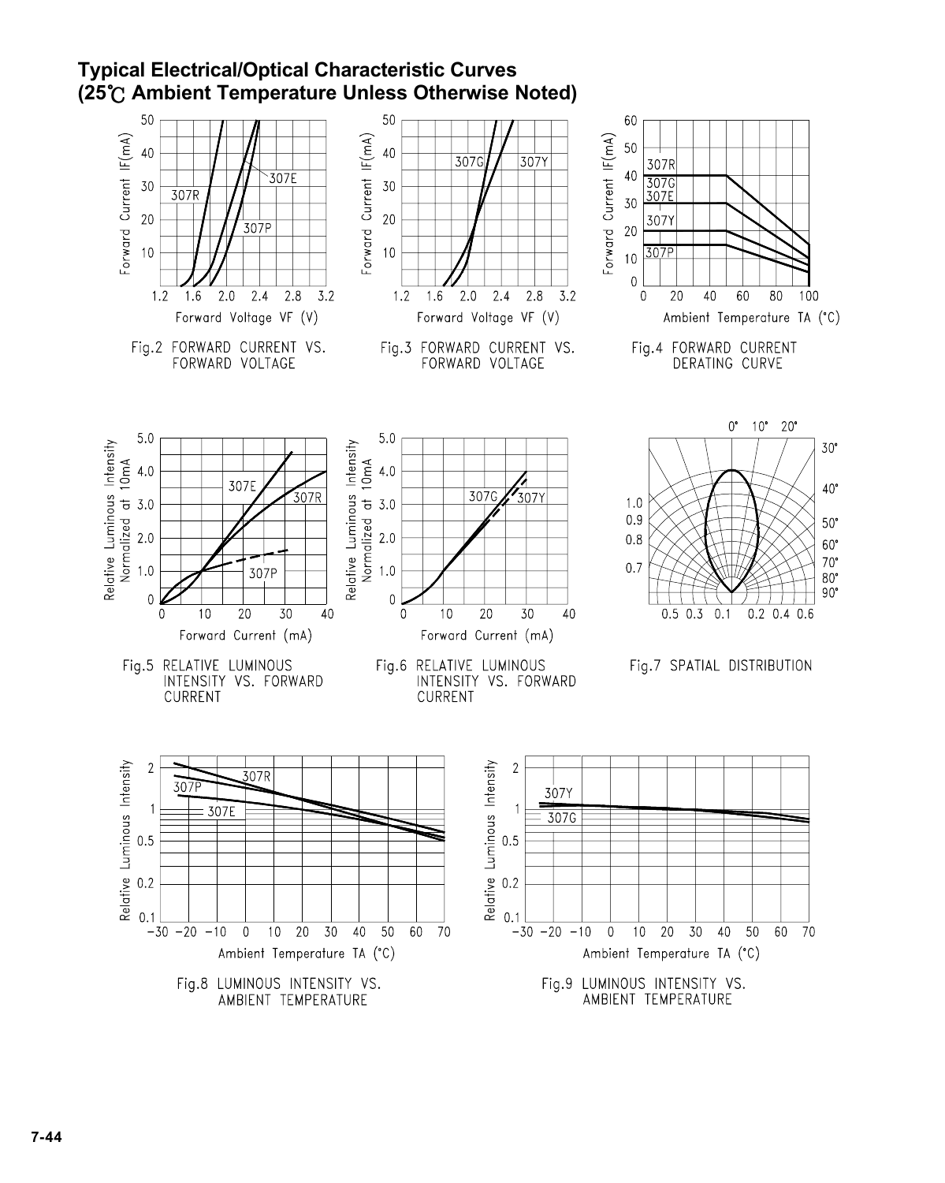## **Typical Electrical/Optical Characteristic Curves (25 Ambient Temperature Unless Otherwise Noted)**